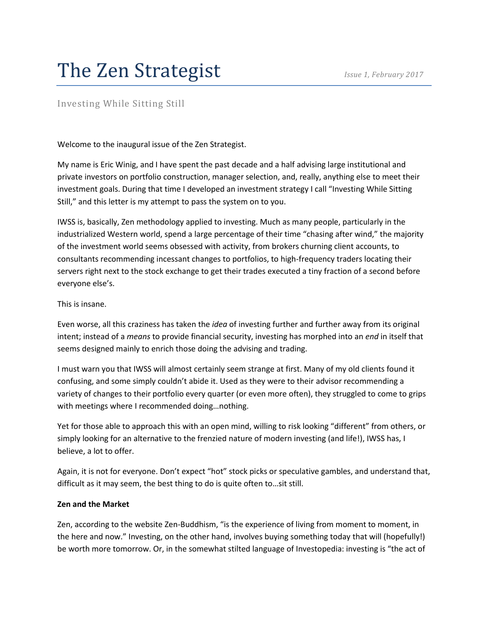# The Zen Strategist *Issue 1, February 2017*

# Investing While Sitting Still

Welcome to the inaugural issue of the Zen Strategist.

My name is Eric Winig, and I have spent the past decade and a half advising large institutional and private investors on portfolio construction, manager selection, and, really, anything else to meet their investment goals. During that time I developed an investment strategy I call "Investing While Sitting Still," and this letter is my attempt to pass the system on to you.

IWSS is, basically, Zen methodology applied to investing. Much as many people, particularly in the industrialized Western world, spend a large percentage of their time "chasing after wind," the majority of the investment world seems obsessed with activity, from brokers churning client accounts, to consultants recommending incessant changes to portfolios, to high-frequency traders locating their servers right next to the stock exchange to get their trades executed a tiny fraction of a second before everyone else's.

#### This is insane.

Even worse, all this craziness has taken the *idea* of investing further and further away from its original intent; instead of a *means* to provide financial security, investing has morphed into an *end* in itself that seems designed mainly to enrich those doing the advising and trading.

I must warn you that IWSS will almost certainly seem strange at first. Many of my old clients found it confusing, and some simply couldn't abide it. Used as they were to their advisor recommending a variety of changes to their portfolio every quarter (or even more often), they struggled to come to grips with meetings where I recommended doing…nothing.

Yet for those able to approach this with an open mind, willing to risk looking "different" from others, or simply looking for an alternative to the frenzied nature of modern investing (and life!), IWSS has, I believe, a lot to offer.

Again, it is not for everyone. Don't expect "hot" stock picks or speculative gambles, and understand that, difficult as it may seem, the best thing to do is quite often to…sit still.

#### **Zen and the Market**

Zen, according to the website Zen-Buddhism, "is the experience of living from moment to moment, in the here and now." Investing, on the other hand, involves buying something today that will (hopefully!) be worth more tomorrow. Or, in the somewhat stilted language of Investopedia: investing is "the act of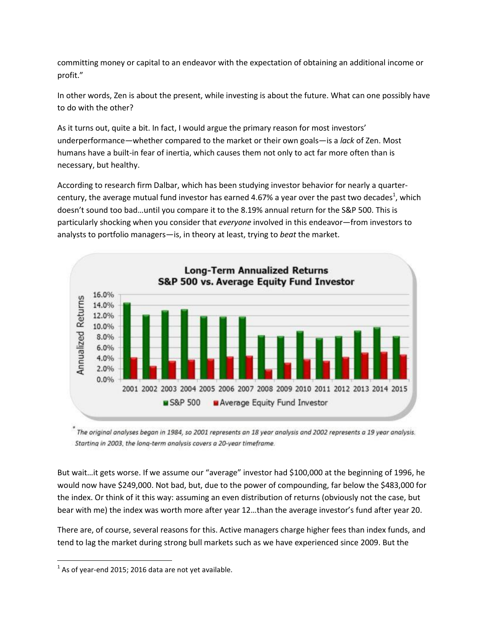committing money or capital to an endeavor with the expectation of obtaining an additional income or profit."

In other words, Zen is about the present, while investing is about the future. What can one possibly have to do with the other?

As it turns out, quite a bit. In fact, I would argue the primary reason for most investors' underperformance—whether compared to the market or their own goals—is a *lack* of Zen. Most humans have a built-in fear of inertia, which causes them not only to act far more often than is necessary, but healthy.

According to research firm Dalbar, which has been studying investor behavior for nearly a quartercentury, the average mutual fund investor has earned 4.67% a year over the past two decades<sup>1</sup>, which doesn't sound too bad…until you compare it to the 8.19% annual return for the S&P 500. This is particularly shocking when you consider that *everyone* involved in this endeavor—from investors to analysts to portfolio managers—is, in theory at least, trying to *beat* the market.



 $^\ast$  The original analyses began in 1984, so 2001 represents an 18 year analysis and 2002 represents a 19 year analysis. Starting in 2003, the long-term analysis covers a 20-year timeframe.

But wait…it gets worse. If we assume our "average" investor had \$100,000 at the beginning of 1996, he would now have \$249,000. Not bad, but, due to the power of compounding, far below the \$483,000 for the index. Or think of it this way: assuming an even distribution of returns (obviously not the case, but bear with me) the index was worth more after year 12…than the average investor's fund after year 20.

There are, of course, several reasons for this. Active managers charge higher fees than index funds, and tend to lag the market during strong bull markets such as we have experienced since 2009. But the

 $\overline{\phantom{a}}$ 

 $^{1}$  As of year-end 2015; 2016 data are not yet available.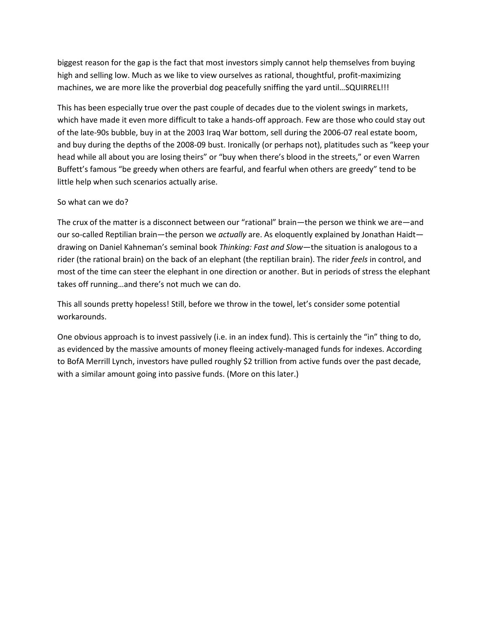biggest reason for the gap is the fact that most investors simply cannot help themselves from buying high and selling low. Much as we like to view ourselves as rational, thoughtful, profit-maximizing machines, we are more like the proverbial dog peacefully sniffing the yard until…SQUIRREL!!!

This has been especially true over the past couple of decades due to the violent swings in markets, which have made it even more difficult to take a hands-off approach. Few are those who could stay out of the late-90s bubble, buy in at the 2003 Iraq War bottom, sell during the 2006-07 real estate boom, and buy during the depths of the 2008-09 bust. Ironically (or perhaps not), platitudes such as "keep your head while all about you are losing theirs" or "buy when there's blood in the streets," or even Warren Buffett's famous "be greedy when others are fearful, and fearful when others are greedy" tend to be little help when such scenarios actually arise.

#### So what can we do?

The crux of the matter is a disconnect between our "rational" brain—the person we think we are—and our so-called Reptilian brain—the person we *actually* are. As eloquently explained by Jonathan Haidt drawing on Daniel Kahneman's seminal book *Thinking: Fast and Slow*—the situation is analogous to a rider (the rational brain) on the back of an elephant (the reptilian brain). The rider *feels* in control, and most of the time can steer the elephant in one direction or another. But in periods of stress the elephant takes off running…and there's not much we can do.

This all sounds pretty hopeless! Still, before we throw in the towel, let's consider some potential workarounds.

One obvious approach is to invest passively (i.e. in an index fund). This is certainly the "in" thing to do, as evidenced by the massive amounts of money fleeing actively-managed funds for indexes. According to BofA Merrill Lynch, investors have pulled roughly \$2 trillion from active funds over the past decade, with a similar amount going into passive funds. (More on this later.)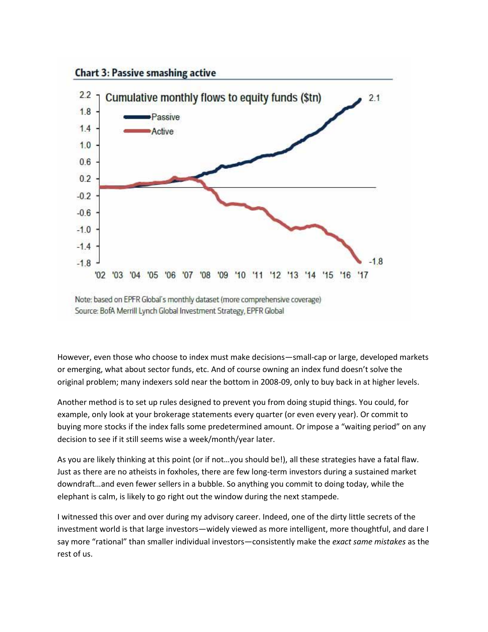

Source: BofA Merrill Lynch Global Investment Strategy, EPFR Global

However, even those who choose to index must make decisions—small-cap or large, developed markets or emerging, what about sector funds, etc. And of course owning an index fund doesn't solve the original problem; many indexers sold near the bottom in 2008-09, only to buy back in at higher levels.

Another method is to set up rules designed to prevent you from doing stupid things. You could, for example, only look at your brokerage statements every quarter (or even every year). Or commit to buying more stocks if the index falls some predetermined amount. Or impose a "waiting period" on any decision to see if it still seems wise a week/month/year later.

As you are likely thinking at this point (or if not…you should be!), all these strategies have a fatal flaw. Just as there are no atheists in foxholes, there are few long-term investors during a sustained market downdraft…and even fewer sellers in a bubble. So anything you commit to doing today, while the elephant is calm, is likely to go right out the window during the next stampede.

I witnessed this over and over during my advisory career. Indeed, one of the dirty little secrets of the investment world is that large investors—widely viewed as more intelligent, more thoughtful, and dare I say more "rational" than smaller individual investors—consistently make the *exact same mistakes* as the rest of us.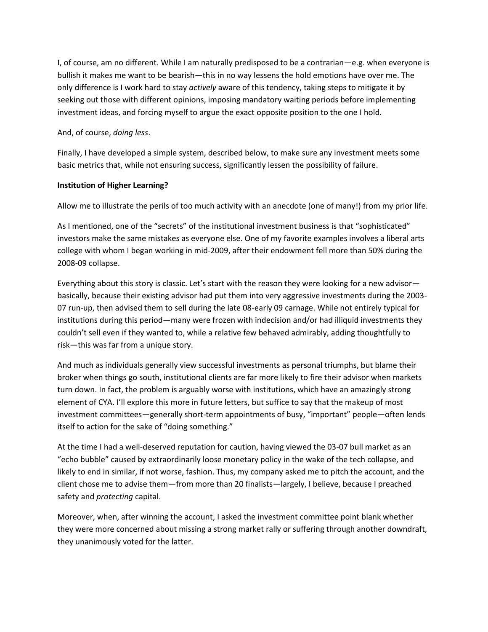I, of course, am no different. While I am naturally predisposed to be a contrarian—e.g. when everyone is bullish it makes me want to be bearish—this in no way lessens the hold emotions have over me. The only difference is I work hard to stay *actively* aware of this tendency, taking steps to mitigate it by seeking out those with different opinions, imposing mandatory waiting periods before implementing investment ideas, and forcing myself to argue the exact opposite position to the one I hold.

#### And, of course, *doing less*.

Finally, I have developed a simple system, described below, to make sure any investment meets some basic metrics that, while not ensuring success, significantly lessen the possibility of failure.

#### **Institution of Higher Learning?**

Allow me to illustrate the perils of too much activity with an anecdote (one of many!) from my prior life.

As I mentioned, one of the "secrets" of the institutional investment business is that "sophisticated" investors make the same mistakes as everyone else. One of my favorite examples involves a liberal arts college with whom I began working in mid-2009, after their endowment fell more than 50% during the 2008-09 collapse.

Everything about this story is classic. Let's start with the reason they were looking for a new advisor basically, because their existing advisor had put them into very aggressive investments during the 2003- 07 run-up, then advised them to sell during the late 08-early 09 carnage. While not entirely typical for institutions during this period—many were frozen with indecision and/or had illiquid investments they couldn't sell even if they wanted to, while a relative few behaved admirably, adding thoughtfully to risk—this was far from a unique story.

And much as individuals generally view successful investments as personal triumphs, but blame their broker when things go south, institutional clients are far more likely to fire their advisor when markets turn down. In fact, the problem is arguably worse with institutions, which have an amazingly strong element of CYA. I'll explore this more in future letters, but suffice to say that the makeup of most investment committees—generally short-term appointments of busy, "important" people—often lends itself to action for the sake of "doing something."

At the time I had a well-deserved reputation for caution, having viewed the 03-07 bull market as an "echo bubble" caused by extraordinarily loose monetary policy in the wake of the tech collapse, and likely to end in similar, if not worse, fashion. Thus, my company asked me to pitch the account, and the client chose me to advise them—from more than 20 finalists—largely, I believe, because I preached safety and *protecting* capital.

Moreover, when, after winning the account, I asked the investment committee point blank whether they were more concerned about missing a strong market rally or suffering through another downdraft, they unanimously voted for the latter.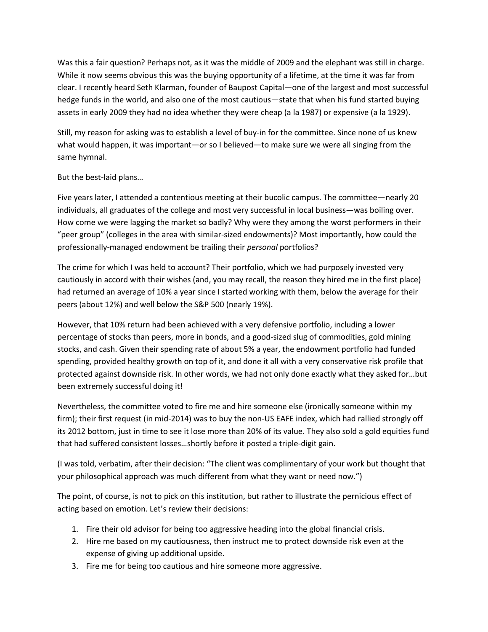Was this a fair question? Perhaps not, as it was the middle of 2009 and the elephant was still in charge. While it now seems obvious this was the buying opportunity of a lifetime, at the time it was far from clear. I recently heard Seth Klarman, founder of Baupost Capital—one of the largest and most successful hedge funds in the world, and also one of the most cautious—state that when his fund started buying assets in early 2009 they had no idea whether they were cheap (a la 1987) or expensive (a la 1929).

Still, my reason for asking was to establish a level of buy-in for the committee. Since none of us knew what would happen, it was important—or so I believed—to make sure we were all singing from the same hymnal.

## But the best-laid plans…

Five years later, I attended a contentious meeting at their bucolic campus. The committee—nearly 20 individuals, all graduates of the college and most very successful in local business—was boiling over. How come we were lagging the market so badly? Why were they among the worst performers in their "peer group" (colleges in the area with similar-sized endowments)? Most importantly, how could the professionally-managed endowment be trailing their *personal* portfolios?

The crime for which I was held to account? Their portfolio, which we had purposely invested very cautiously in accord with their wishes (and, you may recall, the reason they hired me in the first place) had returned an average of 10% a year since I started working with them, below the average for their peers (about 12%) and well below the S&P 500 (nearly 19%).

However, that 10% return had been achieved with a very defensive portfolio, including a lower percentage of stocks than peers, more in bonds, and a good-sized slug of commodities, gold mining stocks, and cash. Given their spending rate of about 5% a year, the endowment portfolio had funded spending, provided healthy growth on top of it, and done it all with a very conservative risk profile that protected against downside risk. In other words, we had not only done exactly what they asked for…but been extremely successful doing it!

Nevertheless, the committee voted to fire me and hire someone else (ironically someone within my firm); their first request (in mid-2014) was to buy the non-US EAFE index, which had rallied strongly off its 2012 bottom, just in time to see it lose more than 20% of its value. They also sold a gold equities fund that had suffered consistent losses…shortly before it posted a triple-digit gain.

(I was told, verbatim, after their decision: "The client was complimentary of your work but thought that your philosophical approach was much different from what they want or need now.")

The point, of course, is not to pick on this institution, but rather to illustrate the pernicious effect of acting based on emotion. Let's review their decisions:

- 1. Fire their old advisor for being too aggressive heading into the global financial crisis.
- 2. Hire me based on my cautiousness, then instruct me to protect downside risk even at the expense of giving up additional upside.
- 3. Fire me for being too cautious and hire someone more aggressive.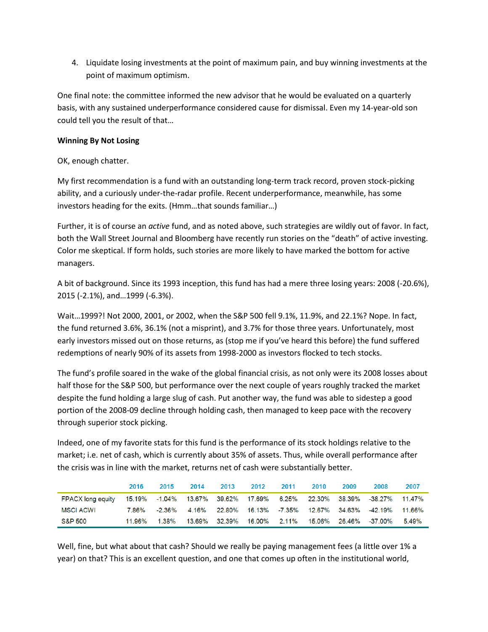4. Liquidate losing investments at the point of maximum pain, and buy winning investments at the point of maximum optimism.

One final note: the committee informed the new advisor that he would be evaluated on a quarterly basis, with any sustained underperformance considered cause for dismissal. Even my 14-year-old son could tell you the result of that…

### **Winning By Not Losing**

OK, enough chatter.

My first recommendation is a fund with an outstanding long-term track record, proven stock-picking ability, and a curiously under-the-radar profile. Recent underperformance, meanwhile, has some investors heading for the exits. (Hmm…that sounds familiar…)

Further, it is of course an *active* fund, and as noted above, such strategies are wildly out of favor. In fact, both the Wall Street Journal and Bloomberg have recently run stories on the "death" of active investing. Color me skeptical. If form holds, such stories are more likely to have marked the bottom for active managers.

A bit of background. Since its 1993 inception, this fund has had a mere three losing years: 2008 (-20.6%), 2015 (-2.1%), and…1999 (-6.3%).

Wait…1999?! Not 2000, 2001, or 2002, when the S&P 500 fell 9.1%, 11.9%, and 22.1%? Nope. In fact, the fund returned 3.6%, 36.1% (not a misprint), and 3.7% for those three years. Unfortunately, most early investors missed out on those returns, as (stop me if you've heard this before) the fund suffered redemptions of nearly 90% of its assets from 1998-2000 as investors flocked to tech stocks.

The fund's profile soared in the wake of the global financial crisis, as not only were its 2008 losses about half those for the S&P 500, but performance over the next couple of years roughly tracked the market despite the fund holding a large slug of cash. Put another way, the fund was able to sidestep a good portion of the 2008-09 decline through holding cash, then managed to keep pace with the recovery through superior stock picking.

Indeed, one of my favorite stats for this fund is the performance of its stock holdings relative to the market; i.e. net of cash, which is currently about 35% of assets. Thus, while overall performance after the crisis was in line with the market, returns net of cash were substantially better.

|                                                                                         | 2016   | 2015   | 2014 | 2013 | 2012                       | 2011 | 2010          | 2009 | 2008                                                    | 2007  |
|-----------------------------------------------------------------------------------------|--------|--------|------|------|----------------------------|------|---------------|------|---------------------------------------------------------|-------|
| FPACX long equity 15.19% -1.04% 13.67% 39.62% 17.69% 6.25% 22.30% 38.39% -38.27% 11.47% |        |        |      |      |                            |      |               |      |                                                         |       |
| MSCI ACWI                                                                               | 7.86%  | -2.36% |      |      |                            |      |               |      | 4.16% 22.80% 16.13% -7.35% 12.67% 34.63% -42.19% 11.66% |       |
| <b>S&amp;P 500</b>                                                                      | 11.96% | 1.38%  |      |      | 13.69% 32.39% 16.00% 2.11% |      | 15.06% 26.46% |      | $-37.00\%$                                              | 5.49% |

Well, fine, but what about that cash? Should we really be paying management fees (a little over 1% a year) on that? This is an excellent question, and one that comes up often in the institutional world,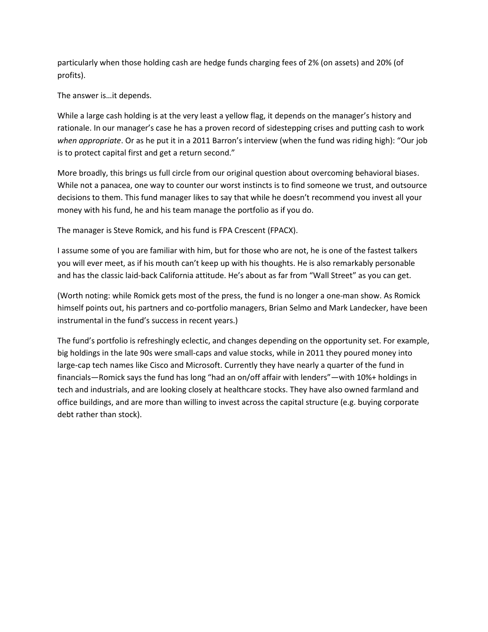particularly when those holding cash are hedge funds charging fees of 2% (on assets) and 20% (of profits).

The answer is…it depends.

While a large cash holding is at the very least a yellow flag, it depends on the manager's history and rationale. In our manager's case he has a proven record of sidestepping crises and putting cash to work *when appropriate*. Or as he put it in a 2011 Barron's interview (when the fund was riding high): "Our job is to protect capital first and get a return second."

More broadly, this brings us full circle from our original question about overcoming behavioral biases. While not a panacea, one way to counter our worst instincts is to find someone we trust, and outsource decisions to them. This fund manager likes to say that while he doesn't recommend you invest all your money with his fund, he and his team manage the portfolio as if you do.

The manager is Steve Romick, and his fund is FPA Crescent (FPACX).

I assume some of you are familiar with him, but for those who are not, he is one of the fastest talkers you will ever meet, as if his mouth can't keep up with his thoughts. He is also remarkably personable and has the classic laid-back California attitude. He's about as far from "Wall Street" as you can get.

(Worth noting: while Romick gets most of the press, the fund is no longer a one-man show. As Romick himself points out, his partners and co-portfolio managers, Brian Selmo and Mark Landecker, have been instrumental in the fund's success in recent years.)

The fund's portfolio is refreshingly eclectic, and changes depending on the opportunity set. For example, big holdings in the late 90s were small-caps and value stocks, while in 2011 they poured money into large-cap tech names like Cisco and Microsoft. Currently they have nearly a quarter of the fund in financials—Romick says the fund has long "had an on/off affair with lenders"—with 10%+ holdings in tech and industrials, and are looking closely at healthcare stocks. They have also owned farmland and office buildings, and are more than willing to invest across the capital structure (e.g. buying corporate debt rather than stock).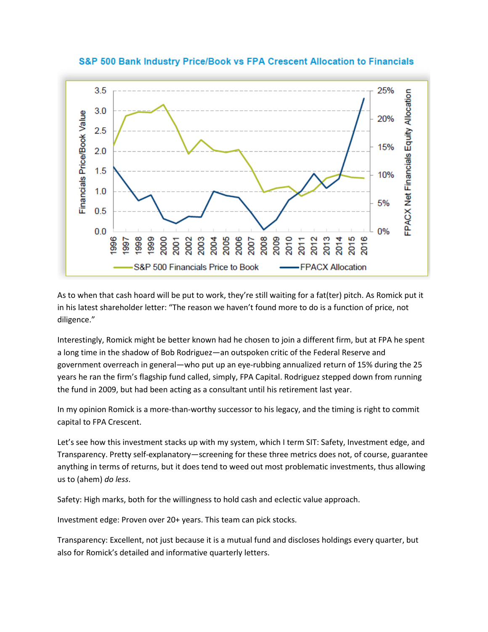

S&P 500 Bank Industry Price/Book vs FPA Crescent Allocation to Financials

As to when that cash hoard will be put to work, they're still waiting for a fat(ter) pitch. As Romick put it in his latest shareholder letter: "The reason we haven't found more to do is a function of price, not diligence."

Interestingly, Romick might be better known had he chosen to join a different firm, but at FPA he spent a long time in the shadow of Bob Rodriguez—an outspoken critic of the Federal Reserve and government overreach in general—who put up an eye-rubbing annualized return of 15% during the 25 years he ran the firm's flagship fund called, simply, FPA Capital. Rodriguez stepped down from running the fund in 2009, but had been acting as a consultant until his retirement last year.

In my opinion Romick is a more-than-worthy successor to his legacy, and the timing is right to commit capital to FPA Crescent.

Let's see how this investment stacks up with my system, which I term SIT: Safety, Investment edge, and Transparency. Pretty self-explanatory—screening for these three metrics does not, of course, guarantee anything in terms of returns, but it does tend to weed out most problematic investments, thus allowing us to (ahem) *do less*.

Safety: High marks, both for the willingness to hold cash and eclectic value approach.

Investment edge: Proven over 20+ years. This team can pick stocks.

Transparency: Excellent, not just because it is a mutual fund and discloses holdings every quarter, but also for Romick's detailed and informative quarterly letters.